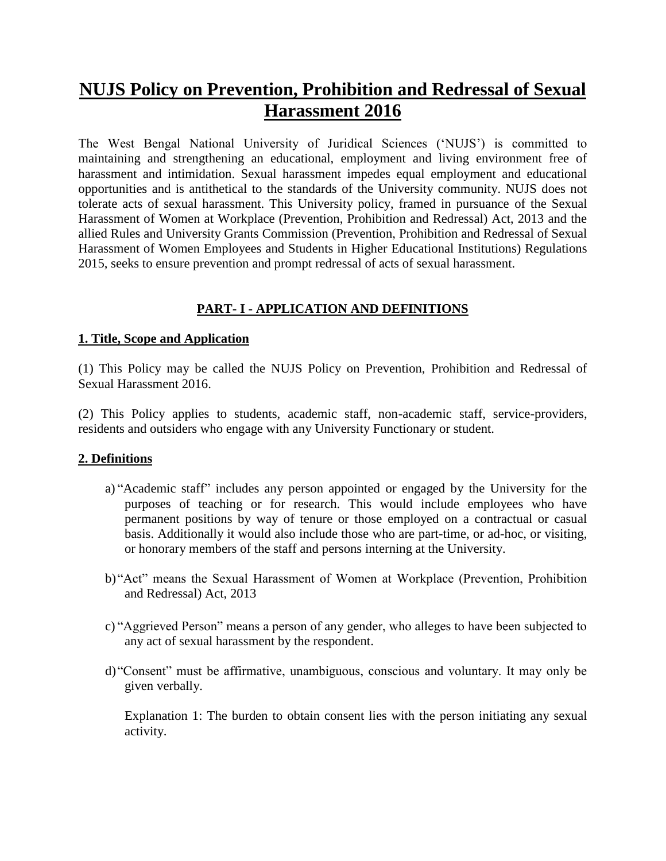# **NUJS Policy on Prevention, Prohibition and Redressal of Sexual Harassment 2016**

The West Bengal National University of Juridical Sciences ('NUJS') is committed to maintaining and strengthening an educational, employment and living environment free of harassment and intimidation. Sexual harassment impedes equal employment and educational opportunities and is antithetical to the standards of the University community. NUJS does not tolerate acts of sexual harassment. This University policy, framed in pursuance of the Sexual Harassment of Women at Workplace (Prevention, Prohibition and Redressal) Act, 2013 and the allied Rules and University Grants Commission (Prevention, Prohibition and Redressal of Sexual Harassment of Women Employees and Students in Higher Educational Institutions) Regulations 2015, seeks to ensure prevention and prompt redressal of acts of sexual harassment.

# **PART- I - APPLICATION AND DEFINITIONS**

#### **1. Title, Scope and Application**

(1) This Policy may be called the NUJS Policy on Prevention, Prohibition and Redressal of Sexual Harassment 2016.

(2) This Policy applies to students, academic staff, non-academic staff, service-providers, residents and outsiders who engage with any University Functionary or student.

#### **2. Definitions**

- a) "Academic staff" includes any person appointed or engaged by the University for the purposes of teaching or for research. This would include employees who have permanent positions by way of tenure or those employed on a contractual or casual basis. Additionally it would also include those who are part-time, or ad-hoc, or visiting, or honorary members of the staff and persons interning at the University.
- b)"Act" means the Sexual Harassment of Women at Workplace (Prevention, Prohibition and Redressal) Act, 2013
- c) "Aggrieved Person" means a person of any gender, who alleges to have been subjected to any act of sexual harassment by the respondent.
- d)"Consent" must be affirmative, unambiguous, conscious and voluntary. It may only be given verbally.

Explanation 1: The burden to obtain consent lies with the person initiating any sexual activity.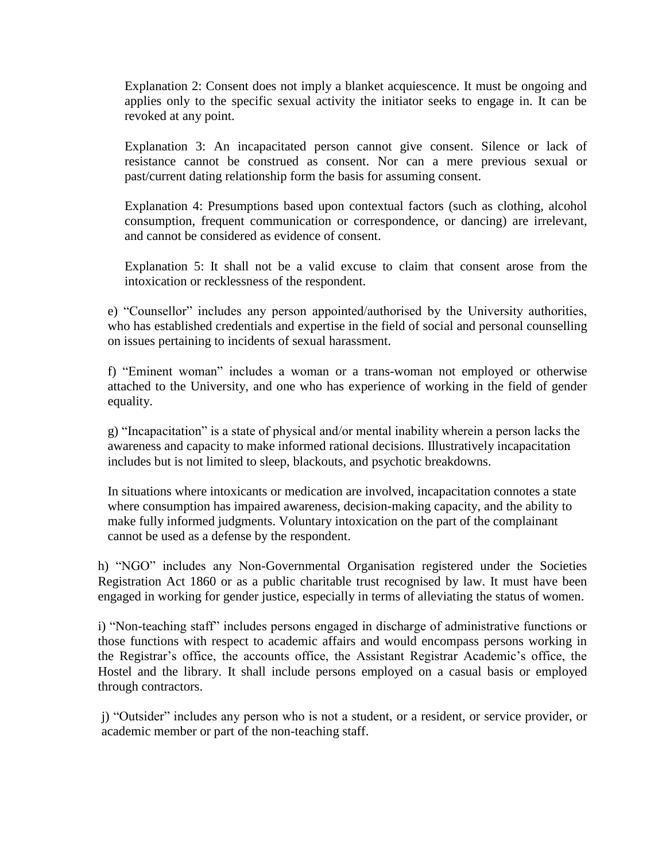Explanation 2: Consent does not imply a blanket acquiescence. It must be ongoing and applies only to the specific sexual activity the initiator seeks to engage in. It can be revoked at any point.

Explanation 3: An incapacitated person cannot give consent. Silence or lack of resistance cannot be construed as consent. Nor can a mere previous sexual or past/current dating relationship form the basis for assuming consent.

Explanation 4: Presumptions based upon contextual factors (such as clothing, alcohol consumption, frequent communication or correspondence, or dancing) are irrelevant, and cannot be considered as evidence of consent.

Explanation 5: It shall not be a valid excuse to claim that consent arose from the intoxication or recklessness of the respondent.

e) "Counsellor" includes any person appointed/authorised by the University authorities, who has established credentials and expertise in the field of social and personal counselling on issues pertaining to incidents of sexual harassment.

f) "Eminent woman" includes a woman or a trans-woman not employed or otherwise attached to the University, and one who has experience of working in the field of gender equality.

g) "Incapacitation" is a state of physical and/or mental inability wherein a person lacks the awareness and capacity to make informed rational decisions. Illustratively incapacitation includes but is not limited to sleep, blackouts, and psychotic breakdowns.

In situations where intoxicants or medication are involved, incapacitation connotes a state where consumption has impaired awareness, decision-making capacity, and the ability to make fully informed judgments. Voluntary intoxication on the part of the complainant cannot be used as a defense by the respondent.

h) "NGO" includes any Non-Governmental Organisation registered under the Societies Registration Act 1860 or as a public charitable trust recognised by law. It must have been engaged in working for gender justice, especially in terms of alleviating the status of women.

i) "Non-teaching staff" includes persons engaged in discharge of administrative functions or those functions with respect to academic affairs and would encompass persons working in the Registrar's office, the accounts office, the Assistant Registrar Academic's office, the Hostel and the library. It shall include persons employed on a casual basis or employed through contractors.

j) "Outsider" includes any person who is not a student, or a resident, or service provider, or academic member or part of the non-teaching staff.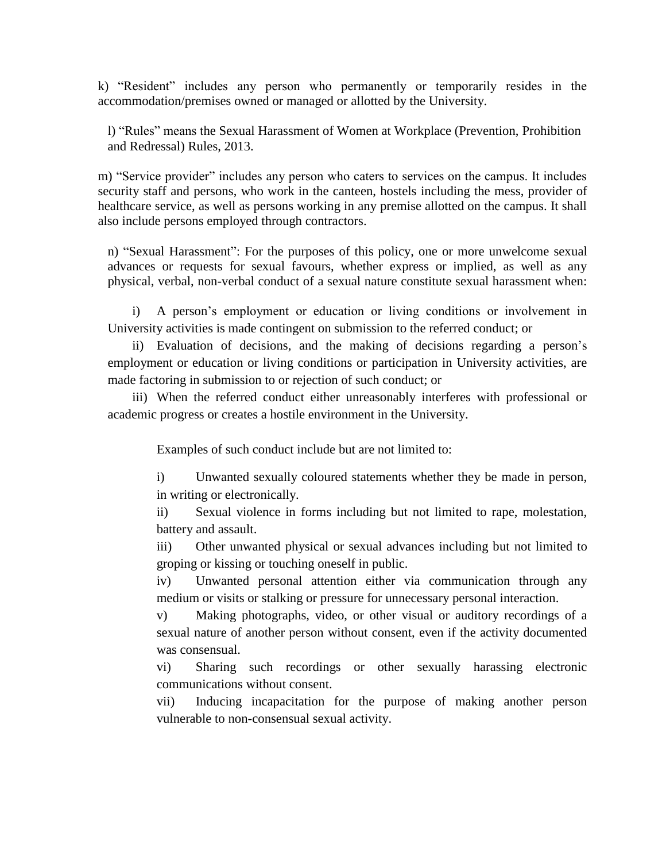k) "Resident" includes any person who permanently or temporarily resides in the accommodation/premises owned or managed or allotted by the University.

l) "Rules" means the Sexual Harassment of Women at Workplace (Prevention, Prohibition and Redressal) Rules, 2013.

m) "Service provider" includes any person who caters to services on the campus. It includes security staff and persons, who work in the canteen, hostels including the mess, provider of healthcare service, as well as persons working in any premise allotted on the campus. It shall also include persons employed through contractors.

n) "Sexual Harassment": For the purposes of this policy, one or more unwelcome sexual advances or requests for sexual favours, whether express or implied, as well as any physical, verbal, non-verbal conduct of a sexual nature constitute sexual harassment when:

i) A person's employment or education or living conditions or involvement in University activities is made contingent on submission to the referred conduct; or

ii) Evaluation of decisions, and the making of decisions regarding a person's employment or education or living conditions or participation in University activities, are made factoring in submission to or rejection of such conduct; or

iii) When the referred conduct either unreasonably interferes with professional or academic progress or creates a hostile environment in the University.

Examples of such conduct include but are not limited to:

i) Unwanted sexually coloured statements whether they be made in person, in writing or electronically.

ii) Sexual violence in forms including but not limited to rape, molestation, battery and assault.

iii) Other unwanted physical or sexual advances including but not limited to groping or kissing or touching oneself in public.

iv) Unwanted personal attention either via communication through any medium or visits or stalking or pressure for unnecessary personal interaction.

v) Making photographs, video, or other visual or auditory recordings of a sexual nature of another person without consent, even if the activity documented was consensual.

vi) Sharing such recordings or other sexually harassing electronic communications without consent.

vii) Inducing incapacitation for the purpose of making another person vulnerable to non-consensual sexual activity.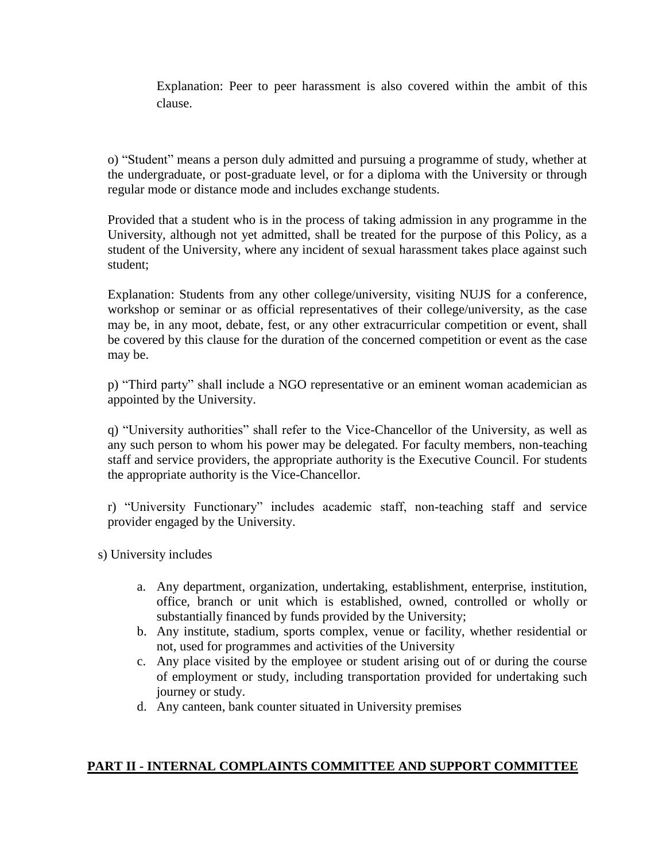Explanation: Peer to peer harassment is also covered within the ambit of this clause.

o) "Student" means a person duly admitted and pursuing a programme of study, whether at the undergraduate, or post-graduate level, or for a diploma with the University or through regular mode or distance mode and includes exchange students.

Provided that a student who is in the process of taking admission in any programme in the University, although not yet admitted, shall be treated for the purpose of this Policy, as a student of the University, where any incident of sexual harassment takes place against such student;

Explanation: Students from any other college/university, visiting NUJS for a conference, workshop or seminar or as official representatives of their college/university, as the case may be, in any moot, debate, fest, or any other extracurricular competition or event, shall be covered by this clause for the duration of the concerned competition or event as the case may be.

p) "Third party" shall include a NGO representative or an eminent woman academician as appointed by the University.

q) "University authorities" shall refer to the Vice-Chancellor of the University, as well as any such person to whom his power may be delegated. For faculty members, non-teaching staff and service providers, the appropriate authority is the Executive Council. For students the appropriate authority is the Vice-Chancellor.

r) "University Functionary" includes academic staff, non-teaching staff and service provider engaged by the University.

s) University includes

- a. Any department, organization, undertaking, establishment, enterprise, institution, office, branch or unit which is established, owned, controlled or wholly or substantially financed by funds provided by the University;
- b. Any institute, stadium, sports complex, venue or facility, whether residential or not, used for programmes and activities of the University
- c. Any place visited by the employee or student arising out of or during the course of employment or study, including transportation provided for undertaking such journey or study.
- d. Any canteen, bank counter situated in University premises

## **PART II - INTERNAL COMPLAINTS COMMITTEE AND SUPPORT COMMITTEE**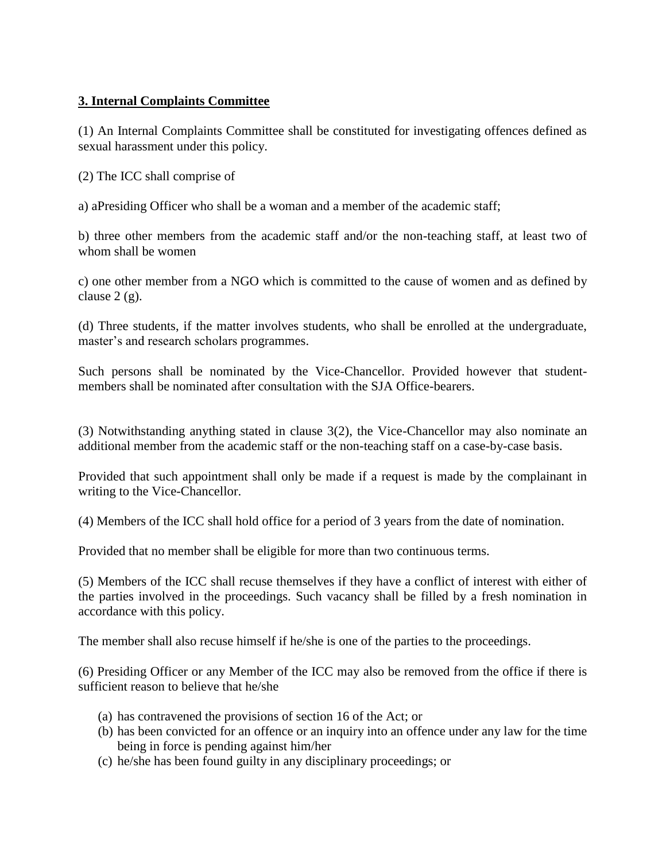# **3. Internal Complaints Committee**

(1) An Internal Complaints Committee shall be constituted for investigating offences defined as sexual harassment under this policy.

(2) The ICC shall comprise of

a) aPresiding Officer who shall be a woman and a member of the academic staff;

b) three other members from the academic staff and/or the non-teaching staff, at least two of whom shall be women

c) one other member from a NGO which is committed to the cause of women and as defined by clause  $2(g)$ .

(d) Three students, if the matter involves students, who shall be enrolled at the undergraduate, master's and research scholars programmes.

Such persons shall be nominated by the Vice-Chancellor. Provided however that studentmembers shall be nominated after consultation with the SJA Office-bearers.

(3) Notwithstanding anything stated in clause 3(2), the Vice-Chancellor may also nominate an additional member from the academic staff or the non-teaching staff on a case-by-case basis.

Provided that such appointment shall only be made if a request is made by the complainant in writing to the Vice-Chancellor.

(4) Members of the ICC shall hold office for a period of 3 years from the date of nomination.

Provided that no member shall be eligible for more than two continuous terms.

(5) Members of the ICC shall recuse themselves if they have a conflict of interest with either of the parties involved in the proceedings. Such vacancy shall be filled by a fresh nomination in accordance with this policy.

The member shall also recuse himself if he/she is one of the parties to the proceedings.

(6) Presiding Officer or any Member of the ICC may also be removed from the office if there is sufficient reason to believe that he/she

- (a) has contravened the provisions of section 16 of the Act; or
- (b) has been convicted for an offence or an inquiry into an offence under any law for the time being in force is pending against him/her
- (c) he/she has been found guilty in any disciplinary proceedings; or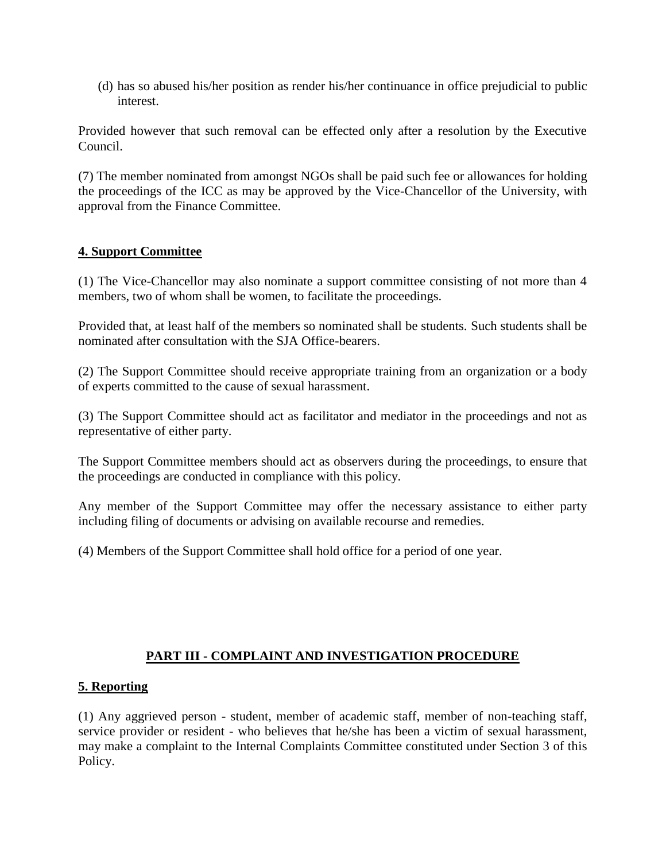(d) has so abused his/her position as render his/her continuance in office prejudicial to public interest.

Provided however that such removal can be effected only after a resolution by the Executive Council.

(7) The member nominated from amongst NGOs shall be paid such fee or allowances for holding the proceedings of the ICC as may be approved by the Vice-Chancellor of the University, with approval from the Finance Committee.

# **4. Support Committee**

(1) The Vice-Chancellor may also nominate a support committee consisting of not more than 4 members, two of whom shall be women, to facilitate the proceedings.

Provided that, at least half of the members so nominated shall be students. Such students shall be nominated after consultation with the SJA Office-bearers.

(2) The Support Committee should receive appropriate training from an organization or a body of experts committed to the cause of sexual harassment.

(3) The Support Committee should act as facilitator and mediator in the proceedings and not as representative of either party.

The Support Committee members should act as observers during the proceedings, to ensure that the proceedings are conducted in compliance with this policy.

Any member of the Support Committee may offer the necessary assistance to either party including filing of documents or advising on available recourse and remedies.

(4) Members of the Support Committee shall hold office for a period of one year.

# **PART III - COMPLAINT AND INVESTIGATION PROCEDURE**

## **5. Reporting**

(1) Any aggrieved person - student, member of academic staff, member of non-teaching staff, service provider or resident - who believes that he/she has been a victim of sexual harassment, may make a complaint to the Internal Complaints Committee constituted under Section 3 of this Policy.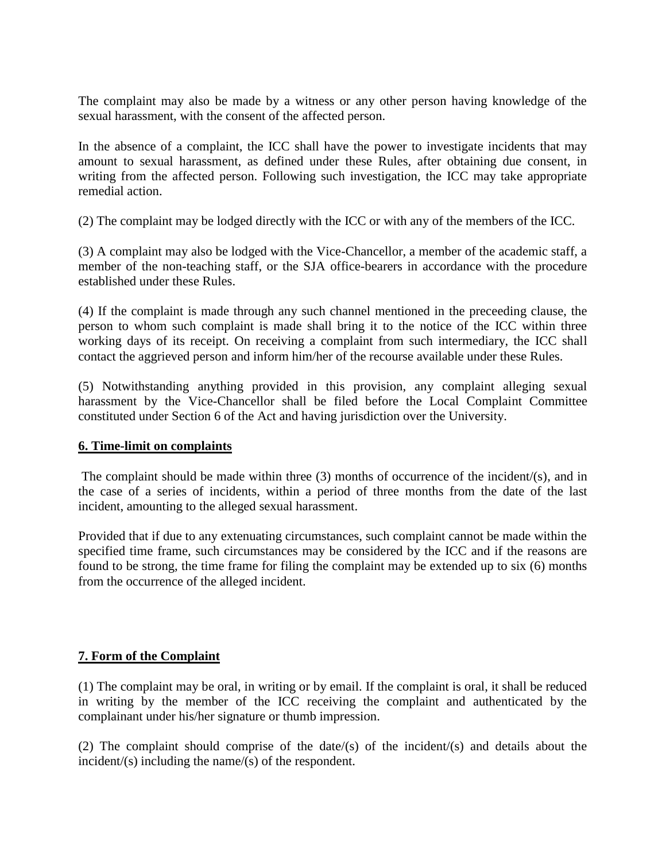The complaint may also be made by a witness or any other person having knowledge of the sexual harassment, with the consent of the affected person.

In the absence of a complaint, the ICC shall have the power to investigate incidents that may amount to sexual harassment, as defined under these Rules, after obtaining due consent, in writing from the affected person. Following such investigation, the ICC may take appropriate remedial action.

(2) The complaint may be lodged directly with the ICC or with any of the members of the ICC.

(3) A complaint may also be lodged with the Vice-Chancellor, a member of the academic staff, a member of the non-teaching staff, or the SJA office-bearers in accordance with the procedure established under these Rules.

(4) If the complaint is made through any such channel mentioned in the preceeding clause, the person to whom such complaint is made shall bring it to the notice of the ICC within three working days of its receipt. On receiving a complaint from such intermediary, the ICC shall contact the aggrieved person and inform him/her of the recourse available under these Rules.

(5) Notwithstanding anything provided in this provision, any complaint alleging sexual harassment by the Vice-Chancellor shall be filed before the Local Complaint Committee constituted under Section 6 of the Act and having jurisdiction over the University.

#### **6. Time-limit on complaints**

The complaint should be made within three (3) months of occurrence of the incident/(s), and in the case of a series of incidents, within a period of three months from the date of the last incident, amounting to the alleged sexual harassment.

Provided that if due to any extenuating circumstances, such complaint cannot be made within the specified time frame, such circumstances may be considered by the ICC and if the reasons are found to be strong, the time frame for filing the complaint may be extended up to six (6) months from the occurrence of the alleged incident.

## **7. Form of the Complaint**

(1) The complaint may be oral, in writing or by email. If the complaint is oral, it shall be reduced in writing by the member of the ICC receiving the complaint and authenticated by the complainant under his/her signature or thumb impression.

(2) The complaint should comprise of the date/(s) of the incident/(s) and details about the incident/(s) including the name/(s) of the respondent.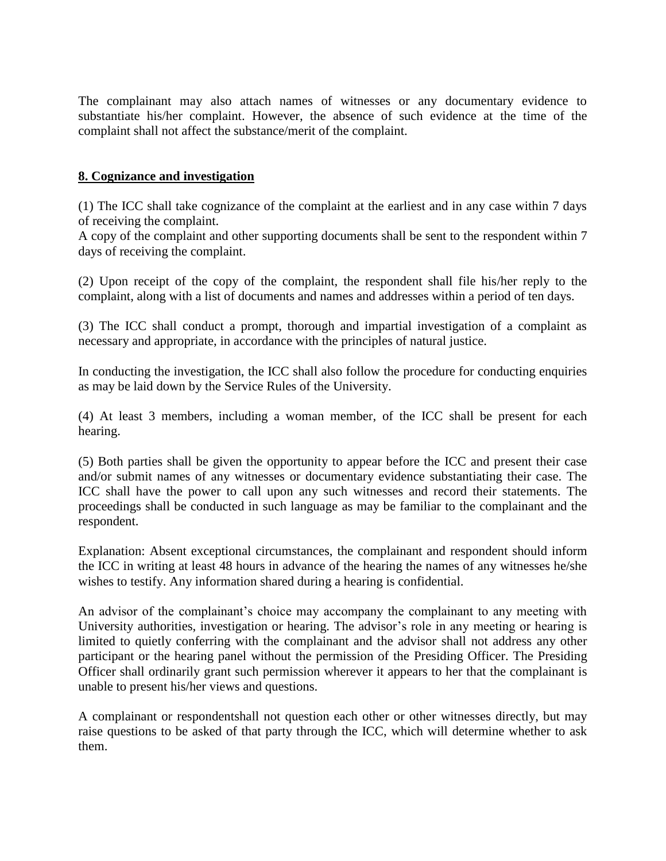The complainant may also attach names of witnesses or any documentary evidence to substantiate his/her complaint. However, the absence of such evidence at the time of the complaint shall not affect the substance/merit of the complaint.

#### **8. Cognizance and investigation**

(1) The ICC shall take cognizance of the complaint at the earliest and in any case within 7 days of receiving the complaint.

A copy of the complaint and other supporting documents shall be sent to the respondent within 7 days of receiving the complaint.

(2) Upon receipt of the copy of the complaint, the respondent shall file his/her reply to the complaint, along with a list of documents and names and addresses within a period of ten days.

(3) The ICC shall conduct a prompt, thorough and impartial investigation of a complaint as necessary and appropriate, in accordance with the principles of natural justice.

In conducting the investigation, the ICC shall also follow the procedure for conducting enquiries as may be laid down by the Service Rules of the University.

(4) At least 3 members, including a woman member, of the ICC shall be present for each hearing.

(5) Both parties shall be given the opportunity to appear before the ICC and present their case and/or submit names of any witnesses or documentary evidence substantiating their case. The ICC shall have the power to call upon any such witnesses and record their statements. The proceedings shall be conducted in such language as may be familiar to the complainant and the respondent.

Explanation: Absent exceptional circumstances, the complainant and respondent should inform the ICC in writing at least 48 hours in advance of the hearing the names of any witnesses he/she wishes to testify. Any information shared during a hearing is confidential.

An advisor of the complainant's choice may accompany the complainant to any meeting with University authorities, investigation or hearing. The advisor's role in any meeting or hearing is limited to quietly conferring with the complainant and the advisor shall not address any other participant or the hearing panel without the permission of the Presiding Officer. The Presiding Officer shall ordinarily grant such permission wherever it appears to her that the complainant is unable to present his/her views and questions.

A complainant or respondentshall not question each other or other witnesses directly, but may raise questions to be asked of that party through the ICC, which will determine whether to ask them.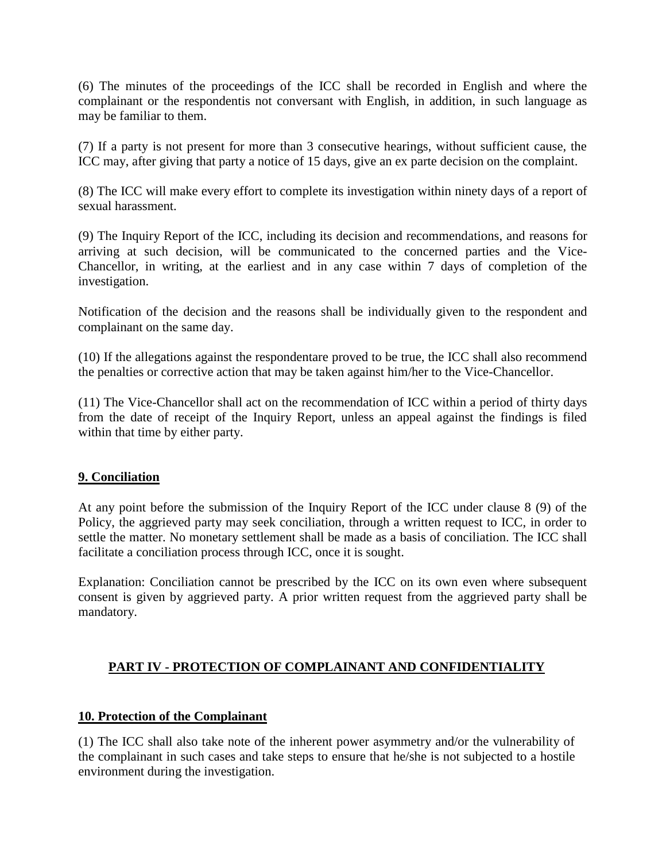(6) The minutes of the proceedings of the ICC shall be recorded in English and where the complainant or the respondentis not conversant with English, in addition, in such language as may be familiar to them.

(7) If a party is not present for more than 3 consecutive hearings, without sufficient cause, the ICC may, after giving that party a notice of 15 days, give an ex parte decision on the complaint.

(8) The ICC will make every effort to complete its investigation within ninety days of a report of sexual harassment.

(9) The Inquiry Report of the ICC, including its decision and recommendations, and reasons for arriving at such decision, will be communicated to the concerned parties and the Vice-Chancellor, in writing, at the earliest and in any case within 7 days of completion of the investigation.

Notification of the decision and the reasons shall be individually given to the respondent and complainant on the same day.

(10) If the allegations against the respondentare proved to be true, the ICC shall also recommend the penalties or corrective action that may be taken against him/her to the Vice-Chancellor.

(11) The Vice-Chancellor shall act on the recommendation of ICC within a period of thirty days from the date of receipt of the Inquiry Report, unless an appeal against the findings is filed within that time by either party.

#### **9. Conciliation**

At any point before the submission of the Inquiry Report of the ICC under clause 8 (9) of the Policy, the aggrieved party may seek conciliation, through a written request to ICC, in order to settle the matter. No monetary settlement shall be made as a basis of conciliation. The ICC shall facilitate a conciliation process through ICC, once it is sought.

Explanation: Conciliation cannot be prescribed by the ICC on its own even where subsequent consent is given by aggrieved party. A prior written request from the aggrieved party shall be mandatory.

## **PART IV - PROTECTION OF COMPLAINANT AND CONFIDENTIALITY**

## **10. Protection of the Complainant**

(1) The ICC shall also take note of the inherent power asymmetry and/or the vulnerability of the complainant in such cases and take steps to ensure that he/she is not subjected to a hostile environment during the investigation.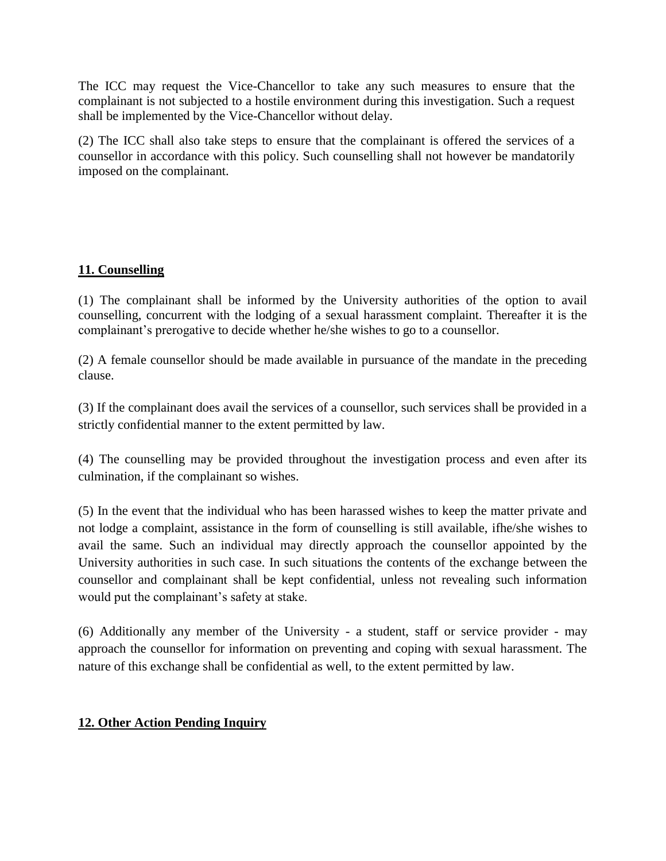The ICC may request the Vice-Chancellor to take any such measures to ensure that the complainant is not subjected to a hostile environment during this investigation. Such a request shall be implemented by the Vice-Chancellor without delay.

(2) The ICC shall also take steps to ensure that the complainant is offered the services of a counsellor in accordance with this policy. Such counselling shall not however be mandatorily imposed on the complainant.

# **11. Counselling**

(1) The complainant shall be informed by the University authorities of the option to avail counselling, concurrent with the lodging of a sexual harassment complaint. Thereafter it is the complainant's prerogative to decide whether he/she wishes to go to a counsellor.

(2) A female counsellor should be made available in pursuance of the mandate in the preceding clause.

(3) If the complainant does avail the services of a counsellor, such services shall be provided in a strictly confidential manner to the extent permitted by law.

(4) The counselling may be provided throughout the investigation process and even after its culmination, if the complainant so wishes.

(5) In the event that the individual who has been harassed wishes to keep the matter private and not lodge a complaint, assistance in the form of counselling is still available, ifhe/she wishes to avail the same. Such an individual may directly approach the counsellor appointed by the University authorities in such case. In such situations the contents of the exchange between the counsellor and complainant shall be kept confidential, unless not revealing such information would put the complainant's safety at stake.

(6) Additionally any member of the University - a student, staff or service provider - may approach the counsellor for information on preventing and coping with sexual harassment. The nature of this exchange shall be confidential as well, to the extent permitted by law.

## **12. Other Action Pending Inquiry**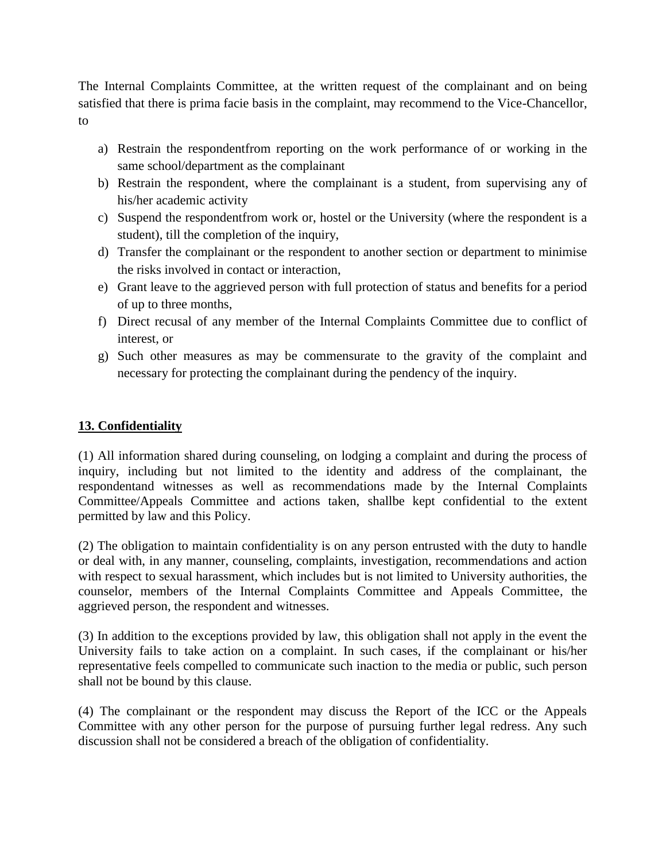The Internal Complaints Committee, at the written request of the complainant and on being satisfied that there is prima facie basis in the complaint, may recommend to the Vice-Chancellor, to

- a) Restrain the respondentfrom reporting on the work performance of or working in the same school/department as the complainant
- b) Restrain the respondent, where the complainant is a student, from supervising any of his/her academic activity
- c) Suspend the respondentfrom work or, hostel or the University (where the respondent is a student), till the completion of the inquiry,
- d) Transfer the complainant or the respondent to another section or department to minimise the risks involved in contact or interaction,
- e) Grant leave to the aggrieved person with full protection of status and benefits for a period of up to three months,
- f) Direct recusal of any member of the Internal Complaints Committee due to conflict of interest, or
- g) Such other measures as may be commensurate to the gravity of the complaint and necessary for protecting the complainant during the pendency of the inquiry.

## **13. Confidentiality**

(1) All information shared during counseling, on lodging a complaint and during the process of inquiry, including but not limited to the identity and address of the complainant, the respondentand witnesses as well as recommendations made by the Internal Complaints Committee/Appeals Committee and actions taken, shallbe kept confidential to the extent permitted by law and this Policy.

(2) The obligation to maintain confidentiality is on any person entrusted with the duty to handle or deal with, in any manner, counseling, complaints, investigation, recommendations and action with respect to sexual harassment, which includes but is not limited to University authorities, the counselor, members of the Internal Complaints Committee and Appeals Committee, the aggrieved person, the respondent and witnesses.

(3) In addition to the exceptions provided by law, this obligation shall not apply in the event the University fails to take action on a complaint. In such cases, if the complainant or his/her representative feels compelled to communicate such inaction to the media or public, such person shall not be bound by this clause.

(4) The complainant or the respondent may discuss the Report of the ICC or the Appeals Committee with any other person for the purpose of pursuing further legal redress. Any such discussion shall not be considered a breach of the obligation of confidentiality.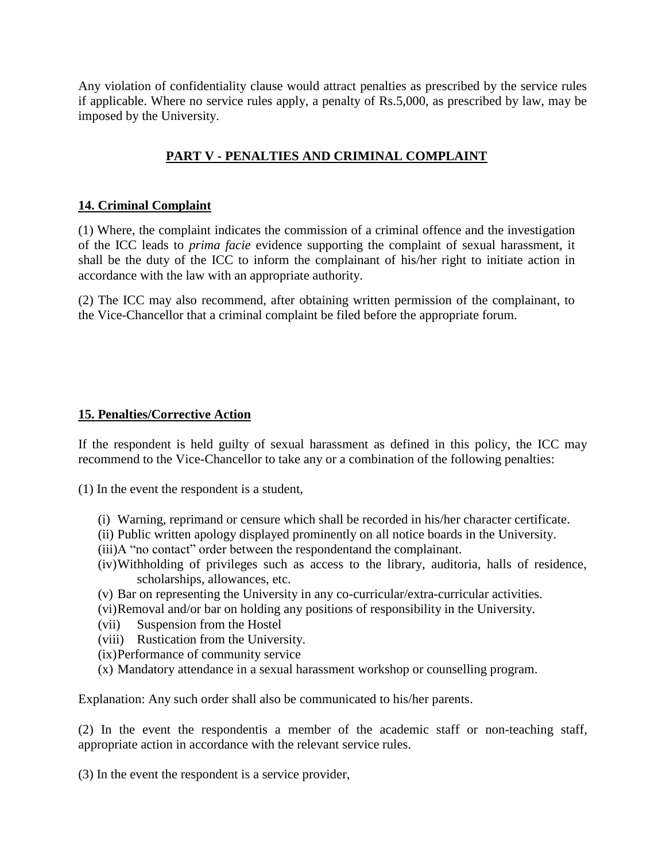Any violation of confidentiality clause would attract penalties as prescribed by the service rules if applicable. Where no service rules apply, a penalty of Rs.5,000, as prescribed by law, may be imposed by the University.

# **PART V - PENALTIES AND CRIMINAL COMPLAINT**

#### **14. Criminal Complaint**

(1) Where, the complaint indicates the commission of a criminal offence and the investigation of the ICC leads to *prima facie* evidence supporting the complaint of sexual harassment, it shall be the duty of the ICC to inform the complainant of his/her right to initiate action in accordance with the law with an appropriate authority.

(2) The ICC may also recommend, after obtaining written permission of the complainant, to the Vice-Chancellor that a criminal complaint be filed before the appropriate forum.

#### **15. Penalties/Corrective Action**

If the respondent is held guilty of sexual harassment as defined in this policy, the ICC may recommend to the Vice-Chancellor to take any or a combination of the following penalties:

(1) In the event the respondent is a student,

- (i) Warning, reprimand or censure which shall be recorded in his/her character certificate.
- (ii) Public written apology displayed prominently on all notice boards in the University.
- (iii)A "no contact" order between the respondentand the complainant.
- (iv)Withholding of privileges such as access to the library, auditoria, halls of residence, scholarships, allowances, etc.
- (v) Bar on representing the University in any co-curricular/extra-curricular activities.
- (vi)Removal and/or bar on holding any positions of responsibility in the University.
- (vii) Suspension from the Hostel
- (viii) Rustication from the University.
- (ix)Performance of community service
- (x) Mandatory attendance in a sexual harassment workshop or counselling program.

Explanation: Any such order shall also be communicated to his/her parents.

(2) In the event the respondentis a member of the academic staff or non-teaching staff, appropriate action in accordance with the relevant service rules.

(3) In the event the respondent is a service provider,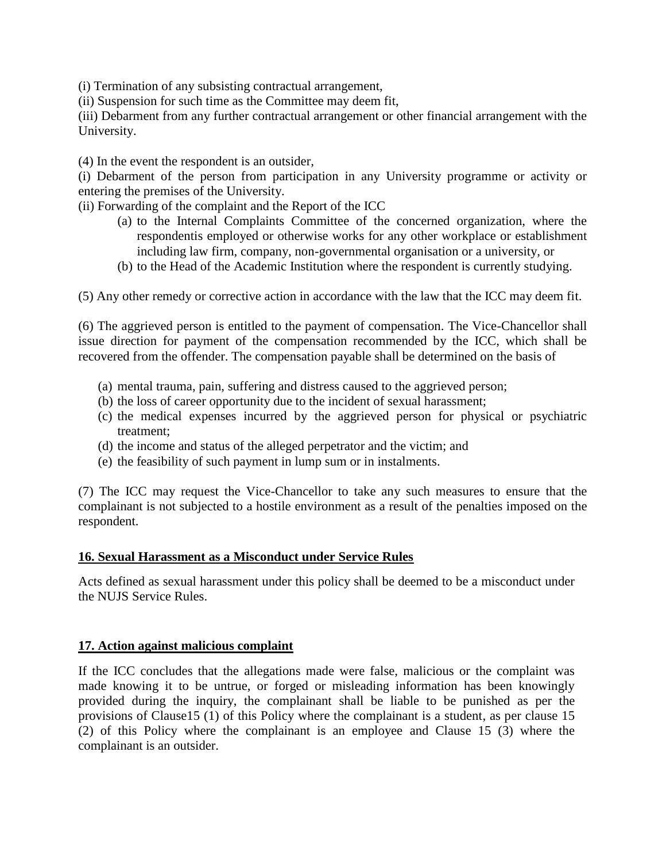(i) Termination of any subsisting contractual arrangement,

(ii) Suspension for such time as the Committee may deem fit,

(iii) Debarment from any further contractual arrangement or other financial arrangement with the University.

(4) In the event the respondent is an outsider,

(i) Debarment of the person from participation in any University programme or activity or entering the premises of the University.

(ii) Forwarding of the complaint and the Report of the ICC

- (a) to the Internal Complaints Committee of the concerned organization, where the respondentis employed or otherwise works for any other workplace or establishment including law firm, company, non-governmental organisation or a university, or
- (b) to the Head of the Academic Institution where the respondent is currently studying.

(5) Any other remedy or corrective action in accordance with the law that the ICC may deem fit.

(6) The aggrieved person is entitled to the payment of compensation. The Vice-Chancellor shall issue direction for payment of the compensation recommended by the ICC, which shall be recovered from the offender. The compensation payable shall be determined on the basis of

- (a) mental trauma, pain, suffering and distress caused to the aggrieved person;
- (b) the loss of career opportunity due to the incident of sexual harassment;
- (c) the medical expenses incurred by the aggrieved person for physical or psychiatric treatment;
- (d) the income and status of the alleged perpetrator and the victim; and
- (e) the feasibility of such payment in lump sum or in instalments.

(7) The ICC may request the Vice-Chancellor to take any such measures to ensure that the complainant is not subjected to a hostile environment as a result of the penalties imposed on the respondent.

#### **16. Sexual Harassment as a Misconduct under Service Rules**

Acts defined as sexual harassment under this policy shall be deemed to be a misconduct under the NUJS Service Rules.

#### **17. Action against malicious complaint**

If the ICC concludes that the allegations made were false, malicious or the complaint was made knowing it to be untrue, or forged or misleading information has been knowingly provided during the inquiry, the complainant shall be liable to be punished as per the provisions of Clause15 (1) of this Policy where the complainant is a student, as per clause 15 (2) of this Policy where the complainant is an employee and Clause 15 (3) where the complainant is an outsider.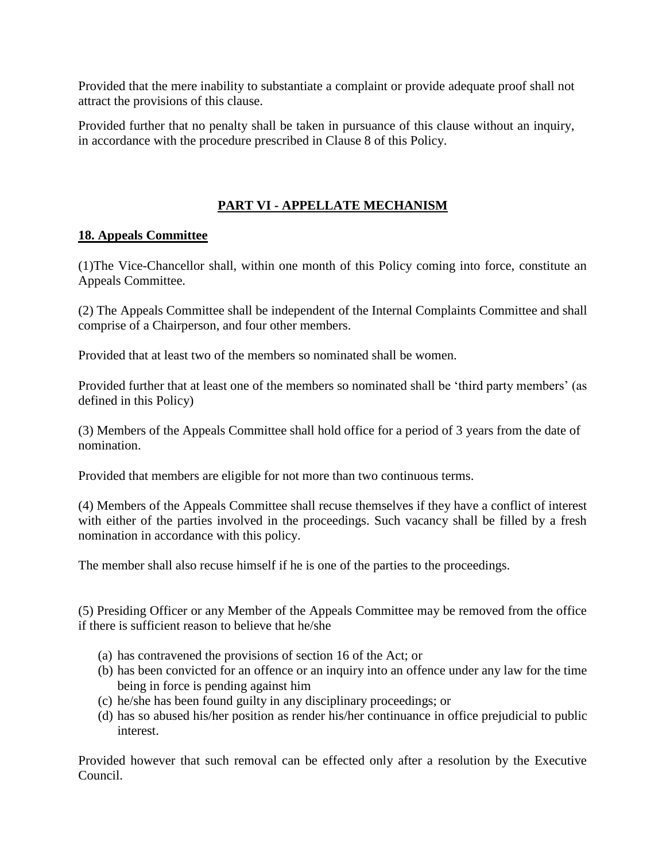Provided that the mere inability to substantiate a complaint or provide adequate proof shall not attract the provisions of this clause.

Provided further that no penalty shall be taken in pursuance of this clause without an inquiry, in accordance with the procedure prescribed in Clause 8 of this Policy.

# **PART VI - APPELLATE MECHANISM**

## **18. Appeals Committee**

(1)The Vice-Chancellor shall, within one month of this Policy coming into force, constitute an Appeals Committee.

(2) The Appeals Committee shall be independent of the Internal Complaints Committee and shall comprise of a Chairperson, and four other members.

Provided that at least two of the members so nominated shall be women.

Provided further that at least one of the members so nominated shall be 'third party members' (as defined in this Policy)

(3) Members of the Appeals Committee shall hold office for a period of 3 years from the date of nomination.

Provided that members are eligible for not more than two continuous terms.

(4) Members of the Appeals Committee shall recuse themselves if they have a conflict of interest with either of the parties involved in the proceedings. Such vacancy shall be filled by a fresh nomination in accordance with this policy.

The member shall also recuse himself if he is one of the parties to the proceedings.

(5) Presiding Officer or any Member of the Appeals Committee may be removed from the office if there is sufficient reason to believe that he/she

- (a) has contravened the provisions of section 16 of the Act; or
- (b) has been convicted for an offence or an inquiry into an offence under any law for the time being in force is pending against him
- (c) he/she has been found guilty in any disciplinary proceedings; or
- (d) has so abused his/her position as render his/her continuance in office prejudicial to public interest.

Provided however that such removal can be effected only after a resolution by the Executive Council.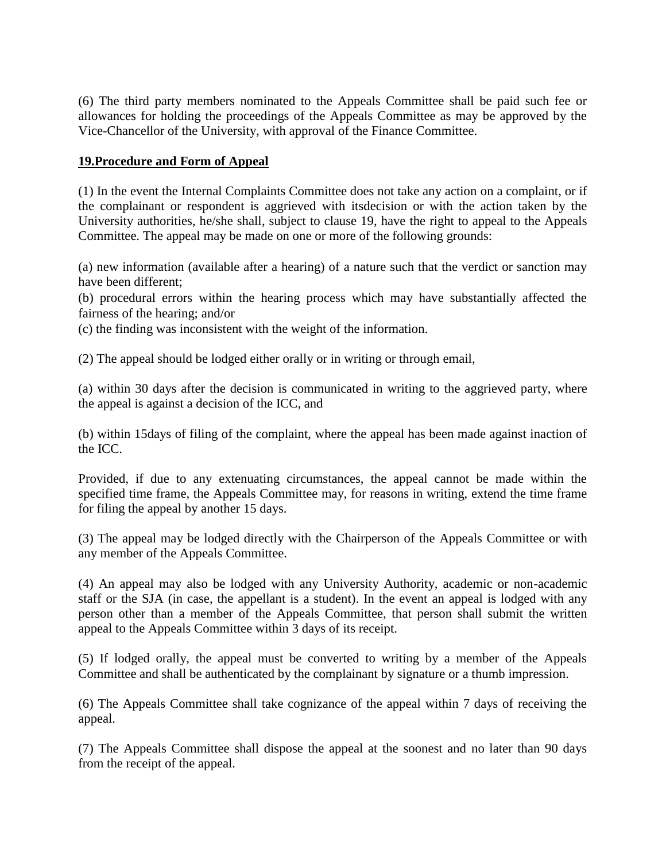(6) The third party members nominated to the Appeals Committee shall be paid such fee or allowances for holding the proceedings of the Appeals Committee as may be approved by the Vice-Chancellor of the University, with approval of the Finance Committee.

#### **19.Procedure and Form of Appeal**

(1) In the event the Internal Complaints Committee does not take any action on a complaint, or if the complainant or respondent is aggrieved with itsdecision or with the action taken by the University authorities, he/she shall, subject to clause 19, have the right to appeal to the Appeals Committee. The appeal may be made on one or more of the following grounds:

(a) new information (available after a hearing) of a nature such that the verdict or sanction may have been different;

(b) procedural errors within the hearing process which may have substantially affected the fairness of the hearing; and/or

(c) the finding was inconsistent with the weight of the information.

(2) The appeal should be lodged either orally or in writing or through email,

(a) within 30 days after the decision is communicated in writing to the aggrieved party, where the appeal is against a decision of the ICC, and

(b) within 15days of filing of the complaint, where the appeal has been made against inaction of the ICC.

Provided, if due to any extenuating circumstances, the appeal cannot be made within the specified time frame, the Appeals Committee may, for reasons in writing, extend the time frame for filing the appeal by another 15 days.

(3) The appeal may be lodged directly with the Chairperson of the Appeals Committee or with any member of the Appeals Committee.

(4) An appeal may also be lodged with any University Authority, academic or non-academic staff or the SJA (in case, the appellant is a student). In the event an appeal is lodged with any person other than a member of the Appeals Committee, that person shall submit the written appeal to the Appeals Committee within 3 days of its receipt.

(5) If lodged orally, the appeal must be converted to writing by a member of the Appeals Committee and shall be authenticated by the complainant by signature or a thumb impression.

(6) The Appeals Committee shall take cognizance of the appeal within 7 days of receiving the appeal.

(7) The Appeals Committee shall dispose the appeal at the soonest and no later than 90 days from the receipt of the appeal.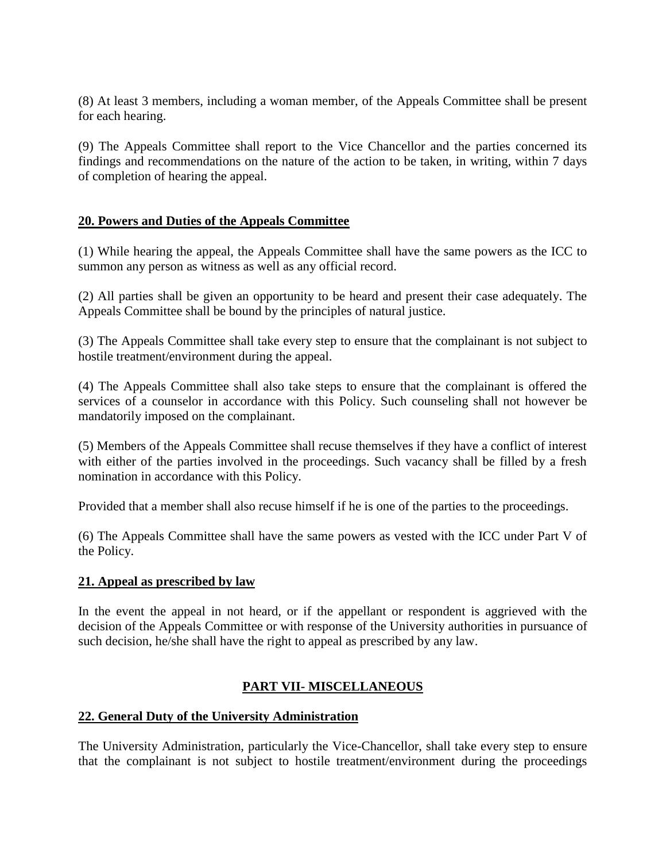(8) At least 3 members, including a woman member, of the Appeals Committee shall be present for each hearing.

(9) The Appeals Committee shall report to the Vice Chancellor and the parties concerned its findings and recommendations on the nature of the action to be taken, in writing, within 7 days of completion of hearing the appeal.

#### **20. Powers and Duties of the Appeals Committee**

(1) While hearing the appeal, the Appeals Committee shall have the same powers as the ICC to summon any person as witness as well as any official record.

(2) All parties shall be given an opportunity to be heard and present their case adequately. The Appeals Committee shall be bound by the principles of natural justice.

(3) The Appeals Committee shall take every step to ensure that the complainant is not subject to hostile treatment/environment during the appeal.

(4) The Appeals Committee shall also take steps to ensure that the complainant is offered the services of a counselor in accordance with this Policy. Such counseling shall not however be mandatorily imposed on the complainant.

(5) Members of the Appeals Committee shall recuse themselves if they have a conflict of interest with either of the parties involved in the proceedings. Such vacancy shall be filled by a fresh nomination in accordance with this Policy.

Provided that a member shall also recuse himself if he is one of the parties to the proceedings.

(6) The Appeals Committee shall have the same powers as vested with the ICC under Part V of the Policy.

#### **21. Appeal as prescribed by law**

In the event the appeal in not heard, or if the appellant or respondent is aggrieved with the decision of the Appeals Committee or with response of the University authorities in pursuance of such decision, he/she shall have the right to appeal as prescribed by any law.

#### **PART VII- MISCELLANEOUS**

#### **22. General Duty of the University Administration**

The University Administration, particularly the Vice-Chancellor, shall take every step to ensure that the complainant is not subject to hostile treatment/environment during the proceedings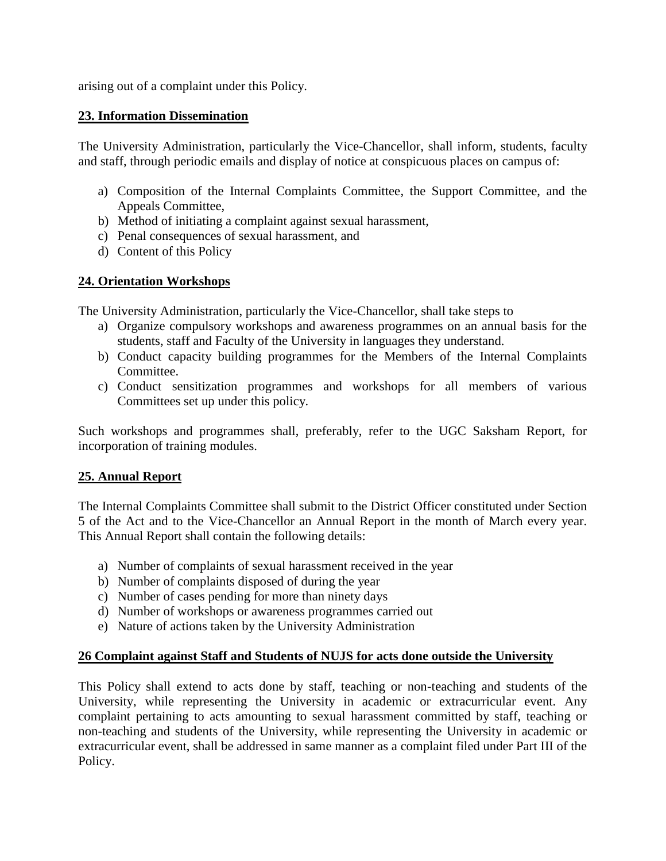arising out of a complaint under this Policy.

#### **23. Information Dissemination**

The University Administration, particularly the Vice-Chancellor, shall inform, students, faculty and staff, through periodic emails and display of notice at conspicuous places on campus of:

- a) Composition of the Internal Complaints Committee, the Support Committee, and the Appeals Committee,
- b) Method of initiating a complaint against sexual harassment,
- c) Penal consequences of sexual harassment, and
- d) Content of this Policy

# **24. Orientation Workshops**

The University Administration, particularly the Vice-Chancellor, shall take steps to

- a) Organize compulsory workshops and awareness programmes on an annual basis for the students, staff and Faculty of the University in languages they understand.
- b) Conduct capacity building programmes for the Members of the Internal Complaints Committee.
- c) Conduct sensitization programmes and workshops for all members of various Committees set up under this policy.

Such workshops and programmes shall, preferably, refer to the UGC Saksham Report, for incorporation of training modules.

## **25. Annual Report**

The Internal Complaints Committee shall submit to the District Officer constituted under Section 5 of the Act and to the Vice-Chancellor an Annual Report in the month of March every year. This Annual Report shall contain the following details:

- a) Number of complaints of sexual harassment received in the year
- b) Number of complaints disposed of during the year
- c) Number of cases pending for more than ninety days
- d) Number of workshops or awareness programmes carried out
- e) Nature of actions taken by the University Administration

## **26 Complaint against Staff and Students of NUJS for acts done outside the University**

This Policy shall extend to acts done by staff, teaching or non-teaching and students of the University, while representing the University in academic or extracurricular event. Any complaint pertaining to acts amounting to sexual harassment committed by staff, teaching or non-teaching and students of the University, while representing the University in academic or extracurricular event, shall be addressed in same manner as a complaint filed under Part III of the Policy.